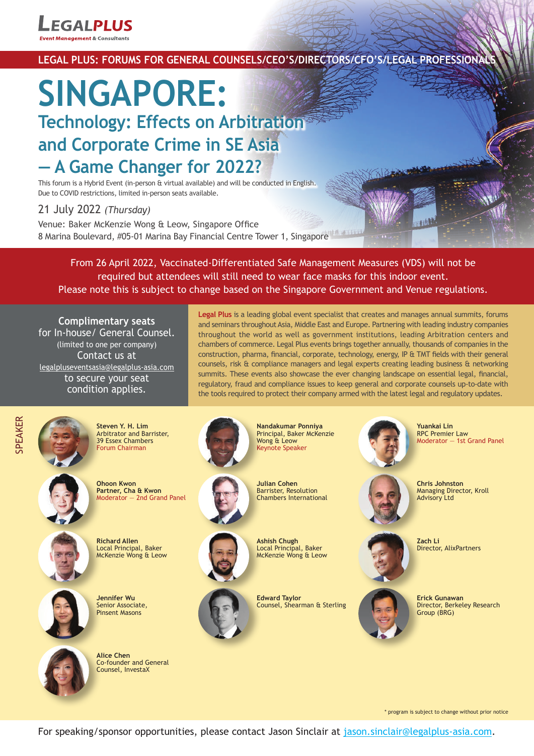

# LEGAL PLUS: FORUMS FOR GENERAL COUNSELS/CEO'S/DIRECTORS/CFO'S/LEGAL PROFESSIONA

# **SINGAPORE: Technology: Effects on Arbitration and Corporate Crime in SE Asia — A Game Changer for 2022?**

This forum is a Hybrid Event (in-person & virtual available) and will be conducted in English. Due to COVID restrictions, limited in-person seats available.

# 21 July 2022 *(Thursday)*

Venue: Baker McKenzie Wong & Leow, Singapore Office 8 Marina Boulevard, #05-01 Marina Bay Financial Centre Tower 1, Singapore

From 26 April 2022, Vaccinated-Differentiated Safe Management Measures (VDS) will not be required but attendees will still need to wear face masks for this indoor event. Please note this is subject to change based on the Singapore Government and Venue regulations.

**Complimentary seats** for In-house/ General Counsel. (limited to one per company) Contact us at legalpluseventsasia@legalplus-asia.com to secure your seat condition applies.

**Legal Plus** is a leading global event specialist that creates and manages annual summits, forums and seminars throughout Asia, Middle East and Europe. Partnering with leading industry companies throughout the world as well as government institutions, leading Arbitration centers and chambers of commerce. Legal Plus events brings together annually, thousands of companies in the construction, pharma, financial, corporate, technology, energy, IP & TMT fields with their general counsels, risk & compliance managers and legal experts creating leading business & networking summits. These events also showcase the ever changing landscape on essential legal, financial, regulatory, fraud and compliance issues to keep general and corporate counsels up-to-date with the tools required to protect their company armed with the latest legal and regulatory updates.



**Steven Y. H. Lim** Arbitrator and Barrister, 39 Essex Chambers Forum Chairman



**Ohoon Kwon Partner, Cha & Kwon** Moderator — 2nd Grand Panel



**Richard Allen** Local Principal, Baker McKenzie Wong & Leow



**Jennifer Wu** Senior Associate, Pinsent Masons



**Alice Chen** Co-founder and General Counsel, InvestaX





Wong & Leow Keynote Speaker

**Nandakumar Ponniya** Principal, Baker McKenzie



**Julian Cohen** Barrister, Resolution Chambers International



**Ashish Chugh** Local Principal, Baker McKenzie Wong & Leow

**Edward Taylor** Counsel, Shearman & Sterling



**Yuankai Lin** RPC Premier Law Moderator — 1st Grand Panel

**Chris Johnston** Managing Director, Kroll Advisory I td

**Zach Li** Director, AlixPartners



Director, Berkeley Research

\* program is subject to change without prior notice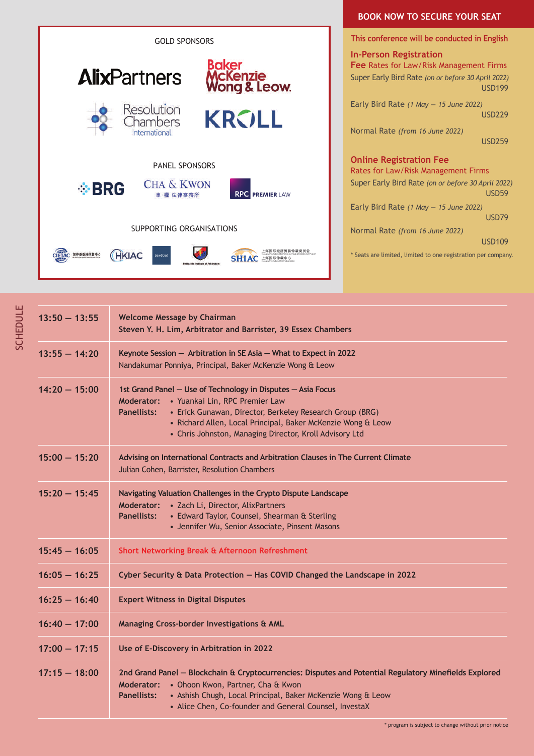

## **BOOK NOW TO SECURE YOUR SEAT**

**This conference will be conducted in English**

**In-Person Registration Fee** Rates for Law/Risk Management Firms Super Early Bird Rate *(on or before 30 April 2022)* USD199 Early Bird Rate *(1 May — 15 June 2022)* USD229

Normal Rate *(from 16 June 2022)*

USD259

#### **Online Registration Fee**

Rates for Law/Risk Management Firms Super Early Bird Rate *(on or before 30 April 2022)* USD59 Early Bird Rate *(1 May — 15 June 2022)* USD79

Normal Rate *(from 16 June 2022)*

USD109

\* Seats are limited, limited to one registration per company.

| $13:50 - 13:55$ | <b>Welcome Message by Chairman</b><br>Steven Y. H. Lim, Arbitrator and Barrister, 39 Essex Chambers                                                                                                                                                                                                                    |  |  |  |
|-----------------|------------------------------------------------------------------------------------------------------------------------------------------------------------------------------------------------------------------------------------------------------------------------------------------------------------------------|--|--|--|
| $13:55 - 14:20$ | Keynote Session - Arbitration in SE Asia - What to Expect in 2022<br>Nandakumar Ponniya, Principal, Baker McKenzie Wong & Leow                                                                                                                                                                                         |  |  |  |
| $14:20 - 15:00$ | 1st Grand Panel - Use of Technology in Disputes - Asia Focus<br>Moderator: • Yuankai Lin, RPC Premier Law<br><b>Panellists:</b><br>• Erick Gunawan, Director, Berkeley Research Group (BRG)<br>· Richard Allen, Local Principal, Baker McKenzie Wong & Leow<br>• Chris Johnston, Managing Director, Kroll Advisory Ltd |  |  |  |
| $15:00 - 15:20$ | Advising on International Contracts and Arbitration Clauses in The Current Climate<br>Julian Cohen, Barrister, Resolution Chambers                                                                                                                                                                                     |  |  |  |
| $15:20 - 15:45$ | Navigating Valuation Challenges in the Crypto Dispute Landscape<br>Moderator: • Zach Li, Director, AlixPartners<br>• Edward Taylor, Counsel, Shearman & Sterling<br><b>Panellists:</b><br>• Jennifer Wu, Senior Associate, Pinsent Masons                                                                              |  |  |  |
| $15:45 - 16:05$ | Short Networking Break & Afternoon Refreshment                                                                                                                                                                                                                                                                         |  |  |  |
| $16:05 - 16:25$ | Cyber Security & Data Protection - Has COVID Changed the Landscape in 2022                                                                                                                                                                                                                                             |  |  |  |
| $16:25 - 16:40$ | <b>Expert Witness in Digital Disputes</b>                                                                                                                                                                                                                                                                              |  |  |  |
| $16:40 - 17:00$ | Managing Cross-border Investigations & AML                                                                                                                                                                                                                                                                             |  |  |  |
| $17:00 - 17:15$ | Use of E-Discovery in Arbitration in 2022                                                                                                                                                                                                                                                                              |  |  |  |
| $17:15 - 18:00$ | 2nd Grand Panel - Blockchain & Cryptocurrencies: Disputes and Potential Regulatory Minefields Explored<br>Moderator: • Ohoon Kwon, Partner, Cha & Kwon<br>• Ashish Chugh, Local Principal, Baker McKenzie Wong & Leow<br><b>Panellists:</b><br>• Alice Chen, Co-founder and General Counsel, InvestaX                  |  |  |  |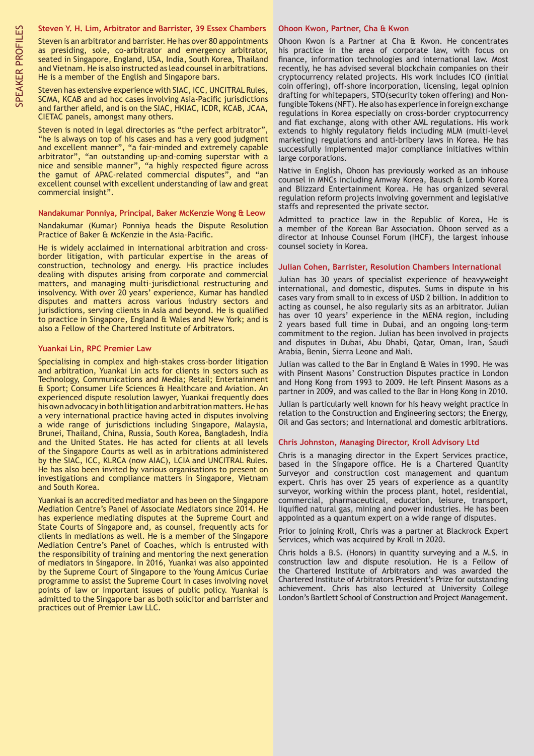#### **Steven Y. H. Lim, Arbitrator and Barrister, 39 Essex Chambers**

Steven is an arbitrator and barrister. He has over 80 appointments as presiding, sole, co-arbitrator and emergency arbitrator, seated in Singapore, England, USA, India, South Korea, Thailand and Vietnam. He is also instructed as lead counsel in arbitrations. He is a member of the English and Singapore bars.

Steven has extensive experience with SIAC, ICC, UNCITRAL Rules, SCMA, KCAB and ad hoc cases involving Asia-Pacific jurisdictions and farther afield, and is on the SIAC, HKIAC, ICDR, KCAB, JCAA, CIETAC panels, amongst many others.

Steven is noted in legal directories as "the perfect arbitrator" "he is always on top of his cases and has a very good judgment and excellent manner", "a fair-minded and extremely capable arbitrator", "an outstanding up-and-coming superstar with a nice and sensible manner", "a highly respected figure across the gamut of APAC-related commercial disputes", and "an excellent counsel with excellent understanding of law and great commercial insight".

#### **Nandakumar Ponniya, Principal, Baker McKenzie Wong & Leow**

Nandakumar (Kumar) Ponniya heads the Dispute Resolution Practice of Baker & McKenzie in the Asia-Pacific.

He is widely acclaimed in international arbitration and crossborder litigation, with particular expertise in the areas of construction, technology and energy. His practice includes dealing with disputes arising from corporate and commercial matters, and managing multi-jurisdictional restructuring and insolvency. With over 20 years' experience, Kumar has handled disputes and matters across various industry sectors and jurisdictions, serving clients in Asia and beyond. He is qualified to practice in Singapore, England & Wales and New York; and is also a Fellow of the Chartered Institute of Arbitrators.

#### **Yuankai Lin, RPC Premier Law**

Specialising in complex and high-stakes cross-border litigation and arbitration, Yuankai Lin acts for clients in sectors such as Technology, Communications and Media; Retail; Entertainment & Sport; Consumer Life Sciences & Healthcare and Aviation. An experienced dispute resolution lawyer, Yuankai frequently does his own advocacy in both litigation and arbitration matters. He has a very international practice having acted in disputes involving a wide range of jurisdictions including Singapore, Malaysia, Brunei, Thailand, China, Russia, South Korea, Bangladesh, India and the United States. He has acted for clients at all levels of the Singapore Courts as well as in arbitrations administered by the SIAC, ICC, KLRCA (now AIAC), LCIA and UNCITRAL Rules. He has also been invited by various organisations to present on investigations and compliance matters in Singapore, Vietnam and South Korea.

Yuankai is an accredited mediator and has been on the Singapore Mediation Centre's Panel of Associate Mediators since 2014. He has experience mediating disputes at the Supreme Court and State Courts of Singapore and, as counsel, frequently acts for clients in mediations as well. He is a member of the Singapore Mediation Centre's Panel of Coaches, which is entrusted with the responsibility of training and mentoring the next generation of mediators in Singapore. In 2016, Yuankai was also appointed by the Supreme Court of Singapore to the Young Amicus Curiae programme to assist the Supreme Court in cases involving novel points of law or important issues of public policy. Yuankai is admitted to the Singapore bar as both solicitor and barrister and practices out of Premier Law LLC.

#### **Ohoon Kwon, Partner, Cha & Kwon**

Ohoon Kwon is a Partner at Cha & Kwon. He concentrates his practice in the area of corporate law, with focus on finance, information technologies and international law. Most recently, he has advised several blockchain companies on their cryptocurrency related projects. His work includes ICO (initial coin offering), off-shore incorporation, licensing, legal opinion drafting for whitepapers, STO(security token offering) and Nonfungible Tokens (NFT). He also has experience in foreign exchange regulations in Korea especially on cross-border cryptocurrency and fiat exchange, along with other AML regulations. His work extends to highly regulatory fields including MLM (multi-level marketing) regulations and anti-bribery laws in Korea. He has successfully implemented major compliance initiatives within large corporations.

Native in English, Ohoon has previously worked as an inhouse counsel in MNCs including Amway Korea, Bausch & Lomb Korea and Blizzard Entertainment Korea. He has organized several regulation reform projects involving government and legislative staffs and represented the private sector.

Admitted to practice law in the Republic of Korea, He is a member of the Korean Bar Association. Ohoon served as a director at Inhouse Counsel Forum (IHCF), the largest inhouse counsel society in Korea.

#### **Julian Cohen, Barrister, Resolution Chambers International**

Julian has 30 years of specialist experience of heavyweight international, and domestic, disputes. Sums in dispute in his cases vary from small to in excess of USD 2 billion. In addition to acting as counsel, he also regularly sits as an arbitrator. Julian has over 10 years' experience in the MENA region, including 2 years based full time in Dubai, and an ongoing long-term commitment to the region. Julian has been involved in projects and disputes in Dubai, Abu Dhabi, Qatar, Oman, Iran, Saudi Arabia, Benin, Sierra Leone and Mali.

Julian was called to the Bar in England & Wales in 1990. He was with Pinsent Masons' Construction Disputes practice in London and Hong Kong from 1993 to 2009. He left Pinsent Masons as a partner in 2009, and was called to the Bar in Hong Kong in 2010.

Julian is particularly well known for his heavy weight practice in relation to the Construction and Engineering sectors; the Energy, Oil and Gas sectors; and International and domestic arbitrations.

#### **Chris Johnston, Managing Director, Kroll Advisory Ltd**

Chris is a managing director in the Expert Services practice, based in the Singapore office. He is a Chartered Quantity Surveyor and construction cost management and quantum expert. Chris has over 25 years of experience as a quantity surveyor, working within the process plant, hotel, residential, commercial, pharmaceutical, education, leisure, transport, liquified natural gas, mining and power industries. He has been appointed as a quantum expert on a wide range of disputes.

Prior to joining Kroll, Chris was a partner at Blackrock Expert Services, which was acquired by Kroll in 2020.

Chris holds a B.S. (Honors) in quantity surveying and a M.S. in construction law and dispute resolution. He is a Fellow of the Chartered Institute of Arbitrators and was awarded the Chartered Institute of Arbitrators President's Prize for outstanding achievement. Chris has also lectured at University College London's Bartlett School of Construction and Project Management.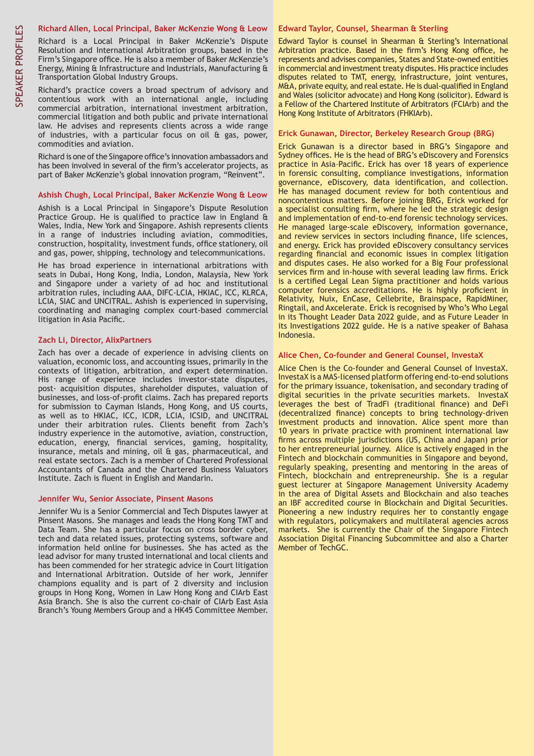#### **Richard Allen, Local Principal, Baker McKenzie Wong & Leow**

Richard is a Local Principal in Baker McKenzie's Dispute Resolution and International Arbitration groups, based in the Firm's Singapore office. He is also a member of Baker McKenzie's Energy, Mining & Infrastructure and Industrials, Manufacturing & Transportation Global Industry Groups.

Richard's practice covers a broad spectrum of advisory and contentious work with an international angle, including commercial arbitration, international investment arbitration, commercial litigation and both public and private international law. He advises and represents clients across a wide range of industries, with a particular focus on oil  $\theta$  gas, power, commodities and aviation.

Richard is one of the Singapore office's innovation ambassadors and has been involved in several of the firm's accelerator projects, as part of Baker McKenzie's global innovation program, "Reinvent".

#### **Ashish Chugh, Local Principal, Baker McKenzie Wong & Leow**

Ashish is a Local Principal in Singapore's Dispute Resolution Practice Group. He is qualified to practice law in England & Wales, India, New York and Singapore. Ashish represents clients in a range of industries including aviation, commodities, construction, hospitality, investment funds, office stationery, oil and gas, power, shipping, technology and telecommunications.

He has broad experience in international arbitrations with seats in Dubai, Hong Kong, India, London, Malaysia, New York and Singapore under a variety of ad hoc and institutional arbitration rules, including AAA, DIFC-LCIA, HKIAC, ICC, KLRCA, LCIA, SIAC and UNCITRAL. Ashish is experienced in supervising, coordinating and managing complex court-based commercial litigation in Asia Pacific.

#### **Zach Li, Director, AlixPartners**

Zach has over a decade of experience in advising clients on valuation, economic loss, and accounting issues, primarily in the contexts of litigation, arbitration, and expert determination. His range of experience includes investor-state disputes, post- acquisition disputes, shareholder disputes, valuation of businesses, and loss-of-profit claims. Zach has prepared reports for submission to Cayman Islands, Hong Kong, and US courts, as well as to HKIAC, ICC, ICDR, LCIA, ICSID, and UNCITRAL under their arbitration rules. Clients benefit from Zach's industry experience in the automotive, aviation, construction, education, energy, financial services, gaming, hospitality, insurance, metals and mining, oil & gas, pharmaceutical, and real estate sectors. Zach is a member of Chartered Professional Accountants of Canada and the Chartered Business Valuators Institute. Zach is fluent in English and Mandarin.

#### **Jennifer Wu, Senior Associate, Pinsent Masons**

Jennifer Wu is a Senior Commercial and Tech Disputes lawyer at Pinsent Masons. She manages and leads the Hong Kong TMT and Data Team. She has a particular focus on cross border cyber, tech and data related issues, protecting systems, software and information held online for businesses. She has acted as the lead advisor for many trusted international and local clients and has been commended for her strategic advice in Court litigation and International Arbitration. Outside of her work, Jennifer champions equality and is part of 2 diversity and inclusion groups in Hong Kong, Women in Law Hong Kong and CIArb East Asia Branch. She is also the current co-chair of CIArb East Asia Branch's Young Members Group and a HK45 Committee Member.

#### **Edward Taylor, Counsel, Shearman & Sterling**

Edward Taylor is counsel in Shearman & Sterling's International Arbitration practice. Based in the firm's Hong Kong office, he represents and advises companies, States and State-owned entities in commercial and investment treaty disputes. His practice includes disputes related to TMT, energy, infrastructure, joint ventures, M&A, private equity, and real estate. He is dual-qualified in England and Wales (solicitor advocate) and Hong Kong (solicitor). Edward is a Fellow of the Chartered Institute of Arbitrators (FCIArb) and the Hong Kong Institute of Arbitrators (FHKIArb).

#### **Erick Gunawan, Director, Berkeley Research Group (BRG)**

Erick Gunawan is a director based in BRG's Singapore and Sydney offices. He is the head of BRG's eDiscovery and Forensics practice in Asia–Pacific. Erick has over 18 years of experience in forensic consulting, compliance investigations, information governance, eDiscovery, data identification, and collection. He has managed document review for both contentious and noncontentious matters. Before joining BRG, Erick worked for a specialist consulting firm, where he led the strategic design and implementation of end-to-end forensic technology services. He managed large-scale eDiscovery, information governance, and review services in sectors including finance, life sciences, and energy. Erick has provided eDiscovery consultancy services regarding financial and economic issues in complex litigation and disputes cases. He also worked for a Big Four professional services firm and in-house with several leading law firms. Erick is a certified Legal Lean Sigma practitioner and holds various computer forensics accreditations. He is highly proficient in Relativity, Nuix, EnCase, Cellebrite, Brainspace, RapidMiner, Ringtail, and Axcelerate. Erick is recognised by Who's Who Legal in its Thought Leader Data 2022 guide, and as Future Leader in its Investigations 2022 guide. He is a native speaker of Bahasa Indonesia.

#### **Alice Chen, Co-founder and General Counsel, InvestaX**

Alice Chen is the Co-founder and General Counsel of InvestaX. InvestaX is a MAS-licensed platform offering end-to-end solutions for the primary issuance, tokenisation, and secondary trading of digital securities in the private securities markets. InvestaX leverages the best of TradFi (traditional finance) and DeFi (decentralized finance) concepts to bring technology-driven investment products and innovation. Alice spent more than 10 years in private practice with prominent international law firms across multiple jurisdictions (US, China and Japan) prior to her entrepreneurial journey. Alice is actively engaged in the Fintech and blockchain communities in Singapore and beyond, regularly speaking, presenting and mentoring in the areas of Fintech, blockchain and entrepreneurship. She is a regular guest lecturer at Singapore Management University Academy in the area of Digital Assets and Blockchain and also teaches an IBF accredited course in Blockchain and Digital Securities. Pioneering a new industry requires her to constantly engage with regulators, policymakers and multilateral agencies across markets. She is currently the Chair of the Singapore Fintech Association Digital Financing Subcommittee and also a Charter Member of TechGC.